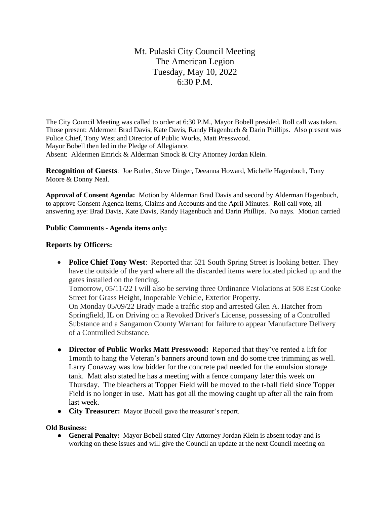# Mt. Pulaski City Council Meeting The American Legion Tuesday, May 10, 2022 6:30 P.M.

The City Council Meeting was called to order at 6:30 P.M., Mayor Bobell presided. Roll call was taken. Those present: Aldermen Brad Davis, Kate Davis, Randy Hagenbuch & Darin Phillips. Also present was Police Chief, Tony West and Director of Public Works, Matt Presswood. Mayor Bobell then led in the Pledge of Allegiance. Absent: Aldermen Emrick & Alderman Smock & City Attorney Jordan Klein.

**Recognition of Guests**: Joe Butler, Steve Dinger, Deeanna Howard, Michelle Hagenbuch, Tony Moore & Donny Neal.

**Approval of Consent Agenda:** Motion by Alderman Brad Davis and second by Alderman Hagenbuch, to approve Consent Agenda Items, Claims and Accounts and the April Minutes. Roll call vote, all answering aye: Brad Davis, Kate Davis, Randy Hagenbuch and Darin Phillips. No nays. Motion carried

#### **Public Comments - Agenda items only:**

### **Reports by Officers:**

- **Police Chief Tony West**: Reported that 521 South Spring Street is looking better. They have the outside of the yard where all the discarded items were located picked up and the gates installed on the fencing. Tomorrow, 05/11/22 I will also be serving three Ordinance Violations at 508 East Cooke Street for Grass Height, Inoperable Vehicle, Exterior Property. On Monday 05/09/22 Brady made a traffic stop and arrested Glen A. Hatcher from Springfield, IL on Driving on a Revoked Driver's License, possessing of a Controlled Substance and a Sangamon County Warrant for failure to appear Manufacture Delivery of a Controlled Substance.
- **Director of Public Works Matt Presswood:** Reported that they've rented a lift for 1month to hang the Veteran's banners around town and do some tree trimming as well. Larry Conaway was low bidder for the concrete pad needed for the emulsion storage tank. Matt also stated he has a meeting with a fence company later this week on Thursday. The bleachers at Topper Field will be moved to the t-ball field since Topper Field is no longer in use. Matt has got all the mowing caught up after all the rain from last week.
- **City Treasurer:** Mayor Bobell gave the treasurer's report.

#### **Old Business:**

● **General Penalty:** Mayor Bobell stated City Attorney Jordan Klein is absent today and is working on these issues and will give the Council an update at the next Council meeting on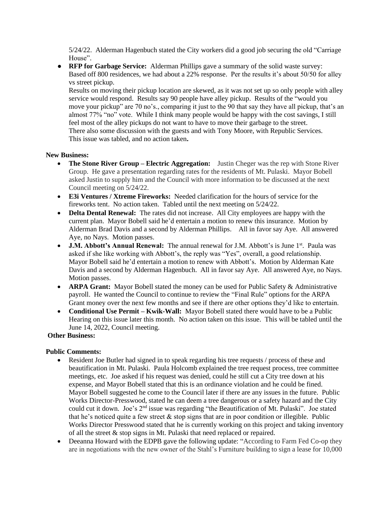5/24/22. Alderman Hagenbuch stated the City workers did a good job securing the old "Carriage House".

● **RFP for Garbage Service:** Alderman Phillips gave a summary of the solid waste survey: Based off 800 residences, we had about a 22% response. Per the results it's about 50/50 for alley vs street pickup.

Results on moving their pickup location are skewed, as it was not set up so only people with alley service would respond. Results say 90 people have alley pickup. Results of the "would you move your pickup" are 70 no's., comparing it just to the 90 that say they have all pickup, that's an almost 77% "no" vote. While I think many people would be happy with the cost savings, I still feel most of the alley pickups do not want to have to move their garbage to the street. There also some discussion with the guests and with Tony Moore, with Republic Services. This issue was tabled, and no action taken**.** 

#### **New Business:**

- **The Stone River Group Electric Aggregation:** Justin Cheger was the rep with Stone River Group. He gave a presentation regarding rates for the residents of Mt. Pulaski. Mayor Bobell asked Justin to supply him and the Council with more information to be discussed at the next Council meeting on 5/24/22.
- **E3i Ventures / Xtreme Fireworks:** Needed clarification for the hours of service for the fireworks tent. No action taken. Tabled until the next meeting on 5/24/22.
- **Delta Dental Renewal:** The rates did not increase. All City employees are happy with the current plan. Mayor Bobell said he'd entertain a motion to renew this insurance. Motion by Alderman Brad Davis and a second by Alderman Phillips. All in favor say Aye. All answered Aye, no Nays. Motion passes.
- **J.M. Abbott's Annual Renewal:** The annual renewal for J.M. Abbott's is June 1<sup>st</sup>. Paula was asked if she like working with Abbott's, the reply was "Yes", overall, a good relationship. Mayor Bobell said he'd entertain a motion to renew with Abbott's. Motion by Alderman Kate Davis and a second by Alderman Hagenbuch. All in favor say Aye. All answered Aye, no Nays. Motion passes.
- **ARPA Grant:** Mayor Bobell stated the money can be used for Public Safety & Administrative payroll. He wanted the Council to continue to review the "Final Rule" options for the ARPA Grant money over the next few months and see if there are other options they'd like to entertain.
- **Conditional Use Permit – Kwik-Wall:** Mayor Bobell stated there would have to be a Public Hearing on this issue later this month. No action taken on this issue. This will be tabled until the June 14, 2022, Council meeting.

### **Other Business:**

#### **Public Comments:**

- Resident Joe Butler had signed in to speak regarding his tree requests / process of these and beautification in Mt. Pulaski. Paula Holcomb explained the tree request process, tree committee meetings, etc. Joe asked if his request was denied, could he still cut a City tree down at his expense, and Mayor Bobell stated that this is an ordinance violation and he could be fined. Mayor Bobell suggested he come to the Council later if there are any issues in the future. Public Works Director-Presswood, stated he can deem a tree dangerous or a safety hazard and the City could cut it down. Joe's 2nd issue was regarding "the Beautification of Mt. Pulaski". Joe stated that he's noticed quite a few street  $&$  stop signs that are in poor condition or illegible. Public Works Director Presswood stated that he is currently working on this project and taking inventory of all the street & stop signs in Mt. Pulaski that need replaced or repaired.
- Deeanna Howard with the EDPB gave the following update: "According to Farm Fed Co-op they are in negotiations with the new owner of the Stahl's Furniture building to sign a lease for 10,000